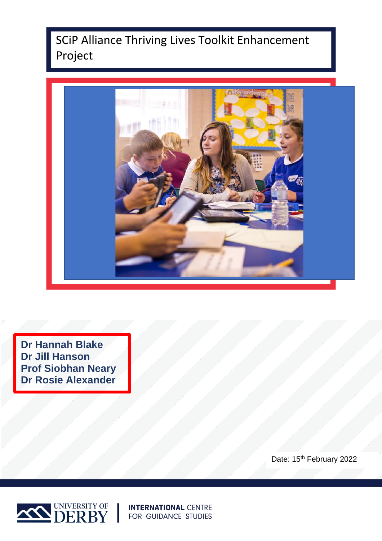# SCiP Alliance Thriving Lives Toolkit Enhancement Project



**Dr Hannah Blake Dr Jill Hanson Prof Siobhan Neary Dr Rosie Alexander** 

Date: 15<sup>th</sup> February 2022



**INTERNATIONAL CENTRE** FOR GUIDANCE STUDIES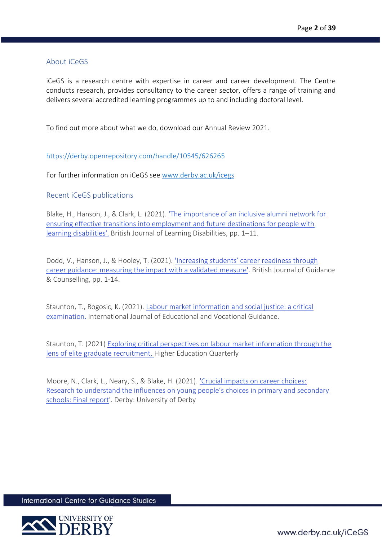# About iCeGS

iCeGS is a research centre with expertise in career and career development. The Centre conducts research, provides consultancy to the career sector, offers a range of training and delivers several accredited learning programmes up to and including doctoral level.

To find out more about what we do, download our Annual Review 2021.

# <https://derby.openrepository.com/handle/10545/626265>

For further information on iCeGS see [www.derby.ac.uk/icegs](http://www.derby.ac.uk/icegs)

# Recent iCeGS publications

Blake, H., Hanson, J., & Clark, L. (2021). ['The importance of an inclusive alumni network for](https://derby.openrepository.com/handle/10545/626052)  [ensuring effective transitions into employment and future destinations for people with](https://derby.openrepository.com/handle/10545/626052)  [learning disabilities'.](https://derby.openrepository.com/handle/10545/626052) British Journal of Learning Disabilities, pp. 1–11.

Dodd, V., Hanson, J., & Hooley, T. (2021). ['Increasing students' career readiness through](https://derby.openrepository.com/handle/10545/625834)  [career guidance: measuring the impact with a validated measure'.](https://derby.openrepository.com/handle/10545/625834) British Journal of Guidance & Counselling, pp. 1-14.

Staunton, T., Rogosic, K. (2021). [Labour market information and social justice: a critical](https://derby.openrepository.com/handle/10545/625642)  [examination.](https://derby.openrepository.com/handle/10545/625642) International Journal of Educational and Vocational Guidance.

Staunton, T. (2021) [Exploring critical perspectives on labour market information through the](https://derby.openrepository.com/handle/10545/625643)  [lens of elite graduate recruitment,](https://derby.openrepository.com/handle/10545/625643) Higher Education Quarterly

Moore, N., Clark, L., Neary, S., & Blake, H. (2021). ['Crucial impacts on career choices:](https://derby.openrepository.com/handle/10545/625678)  [Research to understand the influences on young people's choices in primary and secondary](https://derby.openrepository.com/handle/10545/625678) [schools: Final report'](https://derby.openrepository.com/handle/10545/625678). Derby: University of Derby

**International Centre for Guidance Studies** 

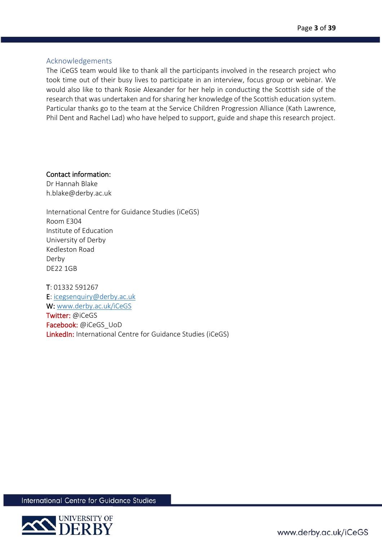# Acknowledgements

The iCeGS team would like to thank all the participants involved in the research project who took time out of their busy lives to participate in an interview, focus group or webinar. We would also like to thank Rosie Alexander for her help in conducting the Scottish side of the research that was undertaken and for sharing her knowledge of the Scottish education system. Particular thanks go to the team at the Service Children Progression Alliance (Kath Lawrence, Phil Dent and Rachel Lad) who have helped to support, guide and shape this research project.

Contact information:

Dr Hannah Blake h.blake@derby.ac.uk

International Centre for Guidance Studies (iCeGS) Room E304 Institute of Education University of Derby Kedleston Road Derby DE22 1GB

T: 01332 591267 E[: icegsenquiry@derby.ac.uk](mailto:icegsenquiry@derby.ac.uk) W: [www.derby.ac.uk/iCeGS](http://www.derby.ac.uk/iCeGS) Twitter: @iCeGS Facebook: @iCeGS\_UoD LinkedIn: International Centre for Guidance Studies (iCeGS)

**International Centre for Guidance Studies** 

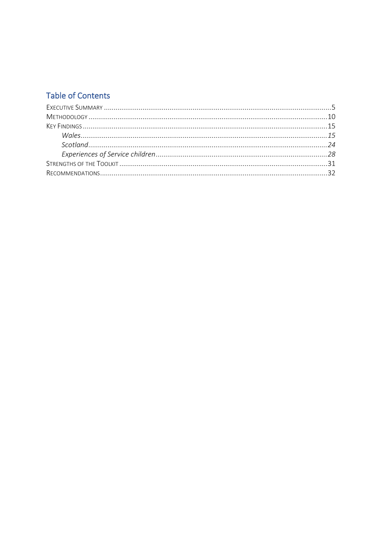# **Table of Contents**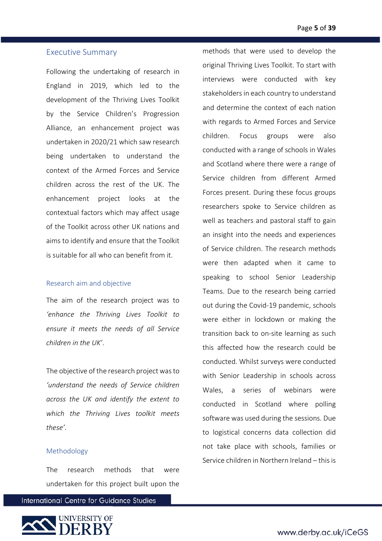#### <span id="page-4-0"></span>Executive Summary

Following the undertaking of research in England in 2019, which led to the development of the Thriving Lives Toolkit by the Service Children's Progression Alliance, an enhancement project was undertaken in 2020/21 which saw research being undertaken to understand the context of the Armed Forces and Service children across the rest of the UK. The enhancement project looks at the contextual factors which may affect usage of the Toolkit across other UK nations and aims to identify and ensure that the Toolkit is suitable for all who can benefit from it.

#### Research aim and objective

The aim of the research project was to *'enhance the Thriving Lives Toolkit to ensure it meets the needs of all Service children in the UK'*.

The objective of the research project was to *'understand the needs of Service children across the UK and identify the extent to which the Thriving Lives toolkit meets these'.*

#### Methodology

The research methods that were undertaken for this project built upon the

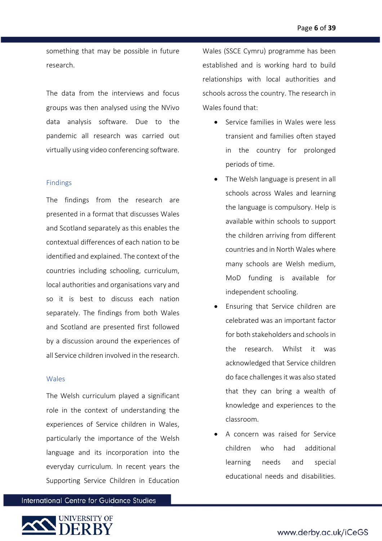something that may be possible in future research.

The data from the interviews and focus groups was then analysed using the NVivo data analysis software. Due to the pandemic all research was carried out virtually using video conferencing software.

#### Findings

The findings from the research are presented in a format that discusses Wales and Scotland separately as this enables the contextual differences of each nation to be identified and explained. The context of the countries including schooling, curriculum, local authorities and organisations vary and so it is best to discuss each nation separately. The findings from both Wales and Scotland are presented first followed by a discussion around the experiences of all Service children involved in the research.

#### Wales

The Welsh curriculum played a significant role in the context of understanding the experiences of Service children in Wales, particularly the importance of the Welsh language and its incorporation into the everyday curriculum. In recent years the Supporting Service Children in Education

**International Centre for Guidance Studies** 



Wales (SSCE Cymru) programme has been established and is working hard to build relationships with local authorities and schools across the country. The research in Wales found that:

- Service families in Wales were less transient and families often stayed in the country for prolonged periods of time.
- The Welsh language is present in all schools across Wales and learning the language is compulsory. Help is available within schools to support the children arriving from different countries and in North Wales where many schools are Welsh medium, MoD funding is available for independent schooling.
- Ensuring that Service children are celebrated was an important factor for both stakeholders and schools in the research. Whilst it was acknowledged that Service children do face challenges it was also stated that they can bring a wealth of knowledge and experiences to the classroom.
- A concern was raised for Service children who had additional learning needs and special educational needs and disabilities.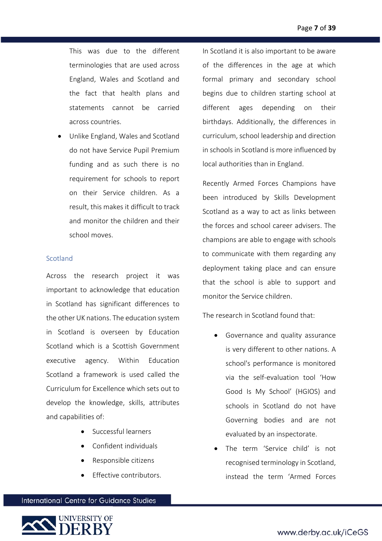This was due to the different terminologies that are used across England, Wales and Scotland and the fact that health plans and statements cannot be carried across countries.

• Unlike England, Wales and Scotland do not have Service Pupil Premium funding and as such there is no requirement for schools to report on their Service children. As a result, this makes it difficult to track and monitor the children and their school moves.

# Scotland

Across the research project it was important to acknowledge that education in Scotland has significant differences to the other UK nations. The education system in Scotland is overseen by Education Scotland which is a Scottish Government executive agency. Within Education Scotland a framework is used called the Curriculum for Excellence which sets out to develop the knowledge, skills, attributes and capabilities of:

- Successful learners
- Confident individuals
- Responsible citizens
- Effective contributors.

In Scotland it is also important to be aware of the differences in the age at which formal primary and secondary school begins due to children starting school at different ages depending on their birthdays. Additionally, the differences in curriculum, school leadership and direction in schools in Scotland is more influenced by local authorities than in England.

Recently Armed Forces Champions have been introduced by Skills Development Scotland as a way to act as links between the forces and school career advisers. The champions are able to engage with schools to communicate with them regarding any deployment taking place and can ensure that the school is able to support and monitor the Service children.

The research in Scotland found that:

- Governance and quality assurance is very different to other nations. A school's performance is monitored via the self-evaluation tool 'How Good Is My School' (HGIOS) and schools in Scotland do not have Governing bodies and are not evaluated by an inspectorate.
- The term 'Service child' is not recognised terminology in Scotland, instead the term 'Armed Forces

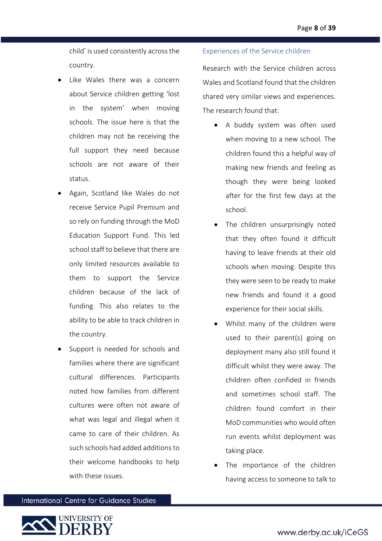child' is used consistently across the country.

- Like Wales there was a concern about Service children getting 'lost in the system' when moving schools. The issue here is that the children may not be receiving the full support they need because schools are not aware of their status.
- Again, Scotland like Wales do not receive Service Pupil Premium and so rely on funding through the MoD Education Support Fund. This led school staff to believe that there are only limited resources available to them to support the Service children because of the lack of funding. This also relates to the ability to be able to track children in the country.
- Support is needed for schools and families where there are significant cultural differences. Participants noted how families from different cultures were often not aware of what was legal and illegal when it came to care of their children. As such schools had added additions to their welcome handbooks to help with these issues.

#### Experiences of the Service children

Research with the Service children across Wales and Scotland found that the children shared very similar views and experiences. The research found that:

- A buddy system was often used when moving to a new school. The children found this a helpful way of making new friends and feeling as though they were being looked after for the first few days at the school.
- The children unsurprisingly noted that they often found it difficult having to leave friends at their old schools when moving. Despite this they were seen to be ready to make new friends and found it a good experience for their social skills.
- Whilst many of the children were used to their parent(s) going on deployment many also still found it difficult whilst they were away. The children often confided in friends and sometimes school staff. The children found comfort in their MoD communities who would often run events whilst deployment was taking place.
- The importance of the children having access to someone to talk to

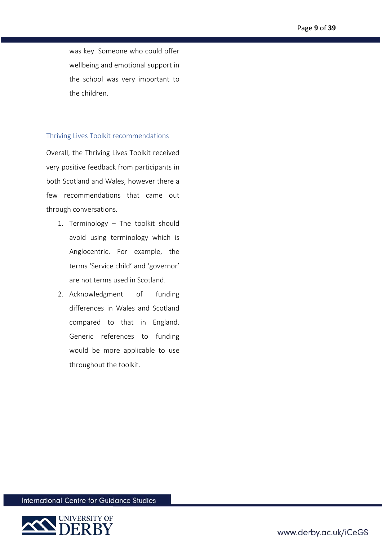was key. Someone who could offer wellbeing and emotional support in the school was very important to the children.

#### Thriving Lives Toolkit recommendations

Overall, the Thriving Lives Toolkit received very positive feedback from participants in both Scotland and Wales, however there a few recommendations that came out through conversations.

- 1. Terminology The toolkit should avoid using terminology which is Anglocentric. For example, the terms 'Service child' and 'governor' are not terms used in Scotland.
- 2. Acknowledgment of funding differences in Wales and Scotland compared to that in England. Generic references to funding would be more applicable to use throughout the toolkit.

**International Centre for Guidance Studies** 

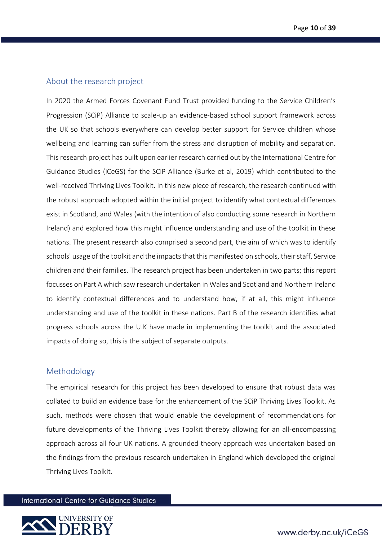# About the research project

In 2020 the Armed Forces Covenant Fund Trust provided funding to the Service Children's Progression (SCiP) Alliance to scale-up an evidence-based school support framework across the UK so that schools everywhere can develop better support for Service children whose wellbeing and learning can suffer from the stress and disruption of mobility and separation. This research project has built upon earlier research carried out by the International Centre for Guidance Studies (iCeGS) for the SCiP Alliance (Burke et al, 2019) which contributed to the well-received Thriving Lives Toolkit. In this new piece of research, the research continued with the robust approach adopted within the initial project to identify what contextual differences exist in Scotland, and Wales (with the intention of also conducting some research in Northern Ireland) and explored how this might influence understanding and use of the toolkit in these nations. The present research also comprised a second part, the aim of which was to identify schools' usage of the toolkit and the impacts that this manifested on schools, their staff, Service children and their families. The research project has been undertaken in two parts; this report focusses on Part A which saw research undertaken in Wales and Scotland and Northern Ireland to identify contextual differences and to understand how, if at all, this might influence understanding and use of the toolkit in these nations. Part B of the research identifies what progress schools across the U.K have made in implementing the toolkit and the associated impacts of doing so, this is the subject of separate outputs.

# <span id="page-9-0"></span>Methodology

The empirical research for this project has been developed to ensure that robust data was collated to build an evidence base for the enhancement of the SCiP Thriving Lives Toolkit. As such, methods were chosen that would enable the development of recommendations for future developments of the Thriving Lives Toolkit thereby allowing for an all-encompassing approach across all four UK nations. A grounded theory approach was undertaken based on the findings from the previous [research u](https://www.scipalliance.org/assets/files/SCiP-Alliance-Final-_Report_Dec19.pdf)ndertaken in England which developed the original Thriving Lives Toolkit.

**International Centre for Guidance Studies** 

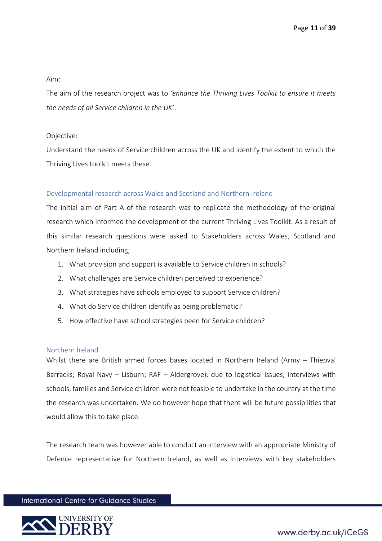Aim:

The aim of the research project was to *'enhance the Thriving Lives Toolkit to ensure it meets the needs of all Service children in the UK'*.

# Objective:

Understand the needs of Service children across the UK and identify the extent to which the Thriving Lives toolkit meets these.

# Developmental research across Wales and Scotland and Northern Ireland

The initial aim of Part A of the research was to replicate the methodology of the original research which informed the development of the current Thriving Lives Toolkit. As a result of this similar research questions were asked to Stakeholders across Wales, Scotland and Northern Ireland including;

- 1. What provision and support is available to Service children in schools?
- 2. What challenges are Service children perceived to experience?
- 3. What strategies have schools employed to support Service children?
- 4. What do Service children identify as being problematic?
- 5. How effective have school strategies been for Service children?

# Northern Ireland

Whilst there are British armed forces bases located in Northern Ireland (Army – Thiepval Barracks; Royal Navy – Lisburn; RAF – Aldergrove), due to logistical issues, interviews with schools, families and Service children were not feasible to undertake in the country at the time the research was undertaken. We do however hope that there will be future possibilities that would allow this to take place.

The research team was however able to conduct an interview with an appropriate Ministry of Defence representative for Northern Ireland, as well as interviews with key stakeholders

**International Centre for Guidance Studies** 

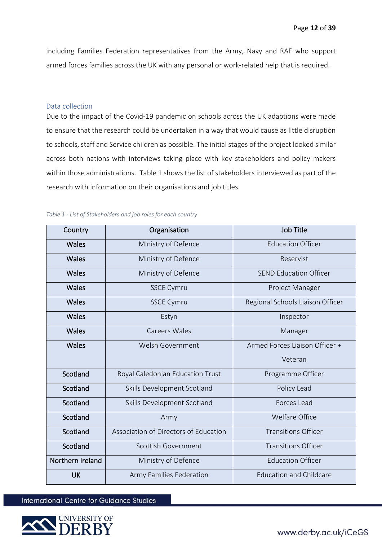including Families Federation representatives from the Army, Navy and RAF who support armed forces families across the UK with any personal or work-related help that is required.

#### Data collection

Due to the impact of the Covid-19 pandemic on schools across the UK adaptions were made to ensure that the research could be undertaken in a way that would cause as little disruption to schools, staff and Service children as possible. The initial stages of the project looked similar across both nations with interviews taking place with key stakeholders and policy makers within those administrations. Table 1 shows the list of stakeholders interviewed as part of the research with information on their organisations and job titles.

| Country          | Organisation                          | <b>Job Title</b>                 |  |
|------------------|---------------------------------------|----------------------------------|--|
| Wales            | Ministry of Defence                   | <b>Education Officer</b>         |  |
| Wales            | Ministry of Defence                   | Reservist                        |  |
| Wales            | Ministry of Defence                   | <b>SEND Education Officer</b>    |  |
| Wales            | <b>SSCE Cymru</b>                     | Project Manager                  |  |
| Wales            | <b>SSCE Cymru</b>                     | Regional Schools Liaison Officer |  |
| Wales            | Estyn                                 | Inspector                        |  |
| Wales            | Careers Wales                         | Manager                          |  |
| Wales            | Welsh Government                      | Armed Forces Liaison Officer +   |  |
|                  |                                       | Veteran                          |  |
| Scotland         | Royal Caledonian Education Trust      | Programme Officer                |  |
| Scotland         | Skills Development Scotland           | Policy Lead                      |  |
| Scotland         | Skills Development Scotland           | Forces Lead                      |  |
| Scotland         | Army                                  | Welfare Office                   |  |
| Scotland         | Association of Directors of Education | <b>Transitions Officer</b>       |  |
| Scotland         | Scottish Government                   | <b>Transitions Officer</b>       |  |
| Northern Ireland | Ministry of Defence                   | <b>Education Officer</b>         |  |
| <b>UK</b>        | Army Families Federation              | <b>Education and Childcare</b>   |  |

#### *Table 1 - List of Stakeholders and job roles for each country*

### **International Centre for Guidance Studies**

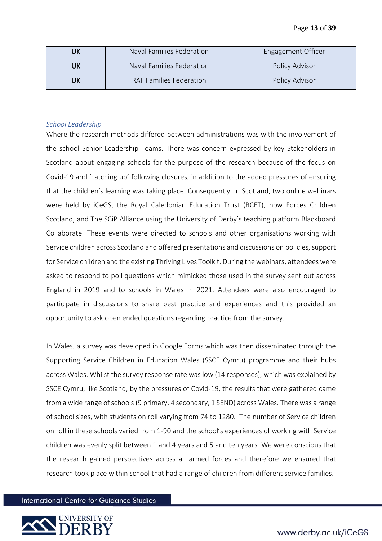|    | Naval Families Federation      | Engagement Officer |
|----|--------------------------------|--------------------|
| UΚ | Naval Families Federation      | Policy Advisor     |
| ΠK | <b>RAF Families Federation</b> | Policy Advisor     |

### *School Leadership*

Where the research methods differed between administrations was with the involvement of the school Senior Leadership Teams. There was concern expressed by key Stakeholders in Scotland about engaging schools for the purpose of the research because of the focus on Covid-19 and 'catching up' following closures, in addition to the added pressures of ensuring that the children's learning was taking place. Consequently, in Scotland, two online webinars were held by iCeGS, the Royal Caledonian Education Trust (RCET), now Forces Children Scotland, and The SCiP Alliance using the University of Derby's teaching platform Blackboard Collaborate. These events were directed to schools and other organisations working with Service children across Scotland and offered presentations and discussions on policies, support for Service children and the existing Thriving Lives Toolkit. During the webinars, attendees were asked to respond to poll questions which mimicked those used in the survey sent out across England in 2019 and to schools in Wales in 2021. Attendees were also encouraged to participate in discussions to share best practice and experiences and this provided an opportunity to ask open ended questions regarding practice from the survey.

In Wales, a survey was developed in Google Forms which was then disseminated through the Supporting Service Children in Education Wales (SSCE Cymru) programme and their hubs across Wales. Whilst the survey response rate was low (14 responses), which was explained by SSCE Cymru, like Scotland, by the pressures of Covid-19, the results that were gathered came from a wide range of schools (9 primary, 4 secondary, 1 SEND) across Wales. There was a range of school sizes, with students on roll varying from 74 to 1280. The number of Service children on roll in these schools varied from 1-90 and the school's experiences of working with Service children was evenly split between 1 and 4 years and 5 and ten years. We were conscious that the research gained perspectives across all armed forces and therefore we ensured that research took place within school that had a range of children from different service families.

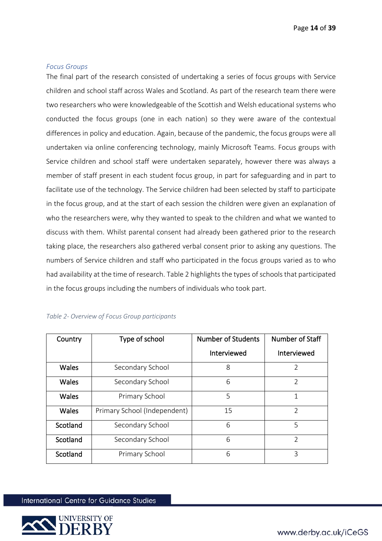Page **14** of **39**

#### *Focus Groups*

The final part of the research consisted of undertaking a series of focus groups with Service children and school staff across Wales and Scotland. As part of the research team there were two researchers who were knowledgeable of the Scottish and Welsh educational systems who conducted the focus groups (one in each nation) so they were aware of the contextual differences in policy and education. Again, because of the pandemic, the focus groups were all undertaken via online conferencing technology, mainly Microsoft Teams. Focus groups with Service children and school staff were undertaken separately, however there was always a member of staff present in each student focus group, in part for safeguarding and in part to facilitate use of the technology. The Service children had been selected by staff to participate in the focus group, and at the start of each session the children were given an explanation of who the researchers were, why they wanted to speak to the children and what we wanted to discuss with them. Whilst parental consent had already been gathered prior to the research taking place, the researchers also gathered verbal consent prior to asking any questions. The numbers of Service children and staff who participated in the focus groups varied as to who had availability at the time of research. Table 2 highlights the types of schools that participated in the focus groups including the numbers of individuals who took part.

| Country      | Type of school               | <b>Number of Students</b> | Number of Staff |
|--------------|------------------------------|---------------------------|-----------------|
|              |                              | Interviewed               | Interviewed     |
| <b>Wales</b> | Secondary School             | 8                         | $\overline{2}$  |
| Wales        | Secondary School             | 6                         | $\overline{2}$  |
| <b>Wales</b> | Primary School               | 5                         | 1               |
| <b>Wales</b> | Primary School (Independent) | 15                        | $\overline{2}$  |
| Scotland     | Secondary School             | 6                         | 5               |
| Scotland     | Secondary School             | 6                         | C               |
| Scotland     | Primary School               | 6                         | 3               |

#### *Table 2- Overview of Focus Group participants*

#### **International Centre for Guidance Studies**

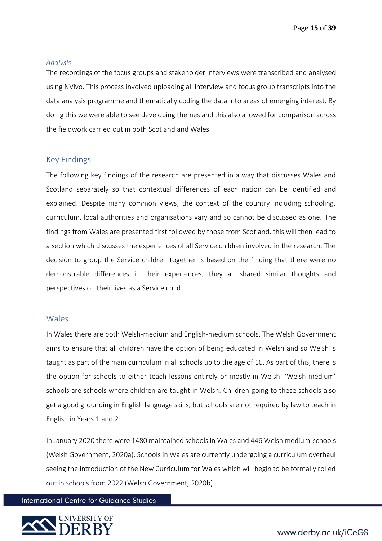Page **15** of **39**

### *Analysis*

The recordings of the focus groups and stakeholder interviews were transcribed and analysed using NVivo. This process involved uploading all interview and focus group transcripts into the data analysis programme and thematically coding the data into areas of emerging interest. By doing this we were able to see developing themes and this also allowed for comparison across the fieldwork carried out in both Scotland and Wales.

# <span id="page-14-0"></span>Key Findings

The following key findings of the research are presented in a way that discusses Wales and Scotland separately so that contextual differences of each nation can be identified and explained. Despite many common views, the context of the country including schooling, curriculum, local authorities and organisations vary and so cannot be discussed as one. The findings from Wales are presented first followed by those from Scotland, this will then lead to a section which discusses the experiences of all Service children involved in the research. The decision to group the Service children together is based on the finding that there were no demonstrable differences in their experiences, they all shared similar thoughts and perspectives on their lives as a Service child.

# <span id="page-14-1"></span>Wales

In Wales there are both Welsh-medium and English-medium schools. The Welsh Government aims to ensure that all children have the option of being educated in Welsh and so Welsh is taught as part of the main curriculum in all schools up to the age of 16. As part of this, there is the option for schools to either teach lessons entirely or mostly in Welsh. 'Welsh-medium' schools are schools where children are taught in Welsh. Children going to these schools also get a good grounding in English language skills, but schools are not required by law to teach in English in Years 1 and 2.

In January 2020 there were 1480 maintained schools in Wales and 446 Welsh medium-schools (Welsh Government, 2020a). Schools in Wales are currently undergoing a curriculum overhaul seeing the introduction of the New Curriculum for Wales which will begin to be formally rolled out in schools from 2022 (Welsh Government, 2020b).

**International Centre for Guidance Studies** 

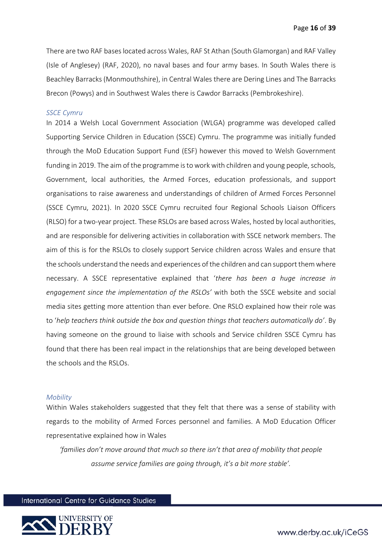There are two RAF bases located across Wales, RAF St Athan (South Glamorgan) and RAF Valley (Isle of Anglesey) (RAF, 2020), no naval bases and four army bases. In South Wales there is Beachley Barracks (Monmouthshire), in Central Wales there are Dering Lines and The Barracks Brecon (Powys) and in Southwest Wales there is Cawdor Barracks (Pembrokeshire).

#### *SSCE Cymru*

In 2014 a Welsh Local Government Association (WLGA) programme was developed called Supporting Service Children in Education (SSCE) Cymru. The programme was initially funded through the MoD Education Support Fund (ESF) however this moved to Welsh Government funding in 2019. The aim of the programme is to work with children and young people, schools, Government, local authorities, the Armed Forces, education professionals, and support organisations to raise awareness and understandings of children of Armed Forces Personnel (SSCE Cymru, 2021). In 2020 SSCE Cymru recruited four Regional Schools Liaison Officers (RLSO) for a two-year project. These RSLOs are based across Wales, hosted by local authorities, and are responsible for delivering activities in collaboration with SSCE network members. The aim of this is for the RSLOs to closely support Service children across Wales and ensure that the schools understand the needs and experiences of the children and can support them where necessary. A SSCE representative explained that '*there has been a huge increase in engagement since the implementation of the RSLOs'* with both the SSCE website and social media sites getting more attention than ever before. One RSLO explained how their role was to '*help teachers think outside the box and question things that teachers automatically do'*. By having someone on the ground to liaise with schools and Service children SSCE Cymru has found that there has been real impact in the relationships that are being developed between the schools and the RSLOs.

#### *Mobility*

Within Wales stakeholders suggested that they felt that there was a sense of stability with regards to the mobility of Armed Forces personnel and families. A MoD Education Officer representative explained how in Wales

*'families don't move around that much so there isn't that area of mobility that people assume service families are going through, it's a bit more stable'.*

**International Centre for Guidance Studies** 

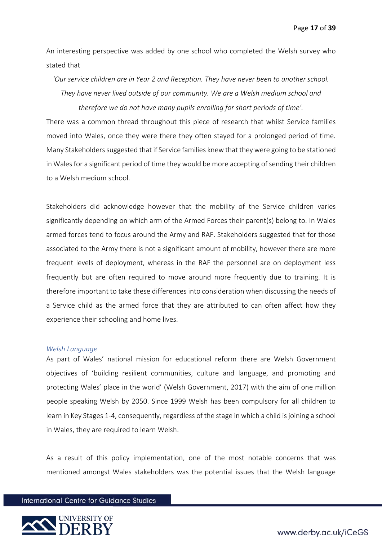An interesting perspective was added by one school who completed the Welsh survey who stated that

*'Our service children are in Year 2 and Reception. They have never been to another school. They have never lived outside of our community. We are a Welsh medium school and therefore we do not have many pupils enrolling for short periods of time'.* 

There was a common thread throughout this piece of research that whilst Service families moved into Wales, once they were there they often stayed for a prolonged period of time. Many Stakeholders suggested that if Service families knew that they were going to be stationed in Wales for a significant period of time they would be more accepting of sending their children to a Welsh medium school.

Stakeholders did acknowledge however that the mobility of the Service children varies significantly depending on which arm of the Armed Forces their parent(s) belong to. In Wales armed forces tend to focus around the Army and RAF. Stakeholders suggested that for those associated to the Army there is not a significant amount of mobility, however there are more frequent levels of deployment, whereas in the RAF the personnel are on deployment less frequently but are often required to move around more frequently due to training. It is therefore important to take these differences into consideration when discussing the needs of a Service child as the armed force that they are attributed to can often affect how they experience their schooling and home lives.

### *Welsh Language*

As part of Wales' national mission for educational reform there are Welsh Government objectives of 'building resilient communities, culture and language, and promoting and protecting Wales' place in the world' (Welsh Government, 2017) with the aim of one million people speaking Welsh by 2050. Since 1999 Welsh has been compulsory for all children to learn in Key Stages 1-4, consequently, regardless of the stage in which a child is joining a school in Wales, they are required to learn Welsh.

As a result of this policy implementation, one of the most notable concerns that was mentioned amongst Wales stakeholders was the potential issues that the Welsh language

**International Centre for Guidance Studies** 

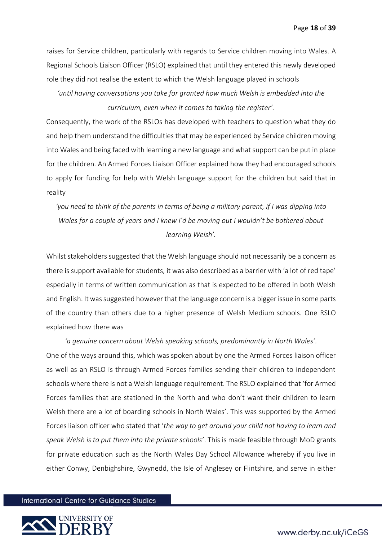raises for Service children, particularly with regards to Service children moving into Wales. A Regional Schools Liaison Officer (RSLO) explained that until they entered this newly developed role they did not realise the extent to which the Welsh language played in schools

*'until having conversations you take for granted how much Welsh is embedded into the curriculum, even when it comes to taking the register'.* 

Consequently, the work of the RSLOs has developed with teachers to question what they do and help them understand the difficulties that may be experienced by Service children moving into Wales and being faced with learning a new language and what support can be put in place for the children. An Armed Forces Liaison Officer explained how they had encouraged schools to apply for funding for help with Welsh language support for the children but said that in reality

# 'you need to think of the parents in terms of being a military parent, if I was dipping into *Wales for a couple of years and I knew I'd be moving out I wouldn't be bothered about learning Welsh'.*

Whilst stakeholders suggested that the Welsh language should not necessarily be a concern as there is support available for students, it was also described as a barrier with 'a lot of red tape' especially in terms of written communication as that is expected to be offered in both Welsh and English. It was suggested however that the language concern is a bigger issue in some parts of the country than others due to a higher presence of Welsh Medium schools. One RSLO explained how there was

*'a genuine concern about Welsh speaking schools, predominantly in North Wales'.*

One of the ways around this, which was spoken about by one the Armed Forces liaison officer as well as an RSLO is through Armed Forces families sending their children to independent schools where there is not a Welsh language requirement. The RSLO explained that 'for Armed Forces families that are stationed in the North and who don't want their children to learn Welsh there are a lot of boarding schools in North Wales'. This was supported by the Armed Forces liaison officer who stated that '*the way to get around your child not having to learn and speak Welsh is to put them into the private schools'*. This is made feasible through MoD grants for private education such as the North Wales Day School Allowance whereby if you live in either Conwy, Denbighshire, Gwynedd, the Isle of Anglesey or Flintshire, and serve in either

# **International Centre for Guidance Studies**

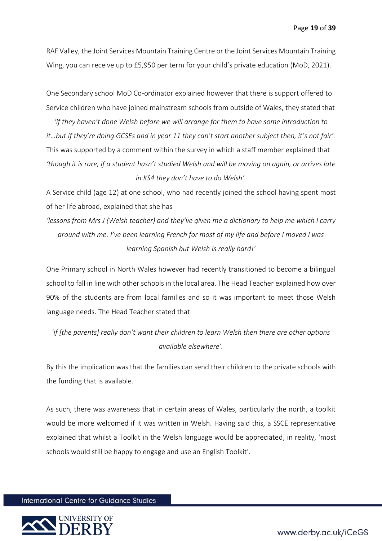RAF Valley, the Joint Services Mountain Training Centre or the Joint Services Mountain Training Wing, you can receive up to £5,950 per term for your child's private education (MoD, 2021).

One Secondary school MoD Co-ordinator explained however that there is support offered to Service children who have joined mainstream schools from outside of Wales, they stated that

*'if they haven't done Welsh before we will arrange for them to have some introduction to it…but if they're doing GCSEs and in year 11 they can't start another subject then, it's not fair'.* This was supported by a comment within the survey in which a staff member explained that *'though it is rare, if a student hasn't studied Welsh and will be moving on again, or arrives late in KS4 they don't have to do Welsh'.*

A Service child (age 12) at one school, who had recently joined the school having spent most of her life abroad, explained that she has

*'lessons from Mrs J (Welsh teacher) and they've given me a dictionary to help me which I carry around with me. I've been learning French for most of my life and before I moved I was learning Spanish but Welsh is really hard!'*

One Primary school in North Wales however had recently transitioned to become a bilingual school to fall in line with other schools in the local area. The Head Teacher explained how over 90% of the students are from local families and so it was important to meet those Welsh language needs. The Head Teacher stated that

*'if [the parents] really don't want their children to learn Welsh then there are other options available elsewhere'.*

By this the implication was that the families can send their children to the private schools with the funding that is available.

As such, there was awareness that in certain areas of Wales, particularly the north, a toolkit would be more welcomed if it was written in Welsh. Having said this, a SSCE representative explained that whilst a Toolkit in the Welsh language would be appreciated, in reality, 'most schools would still be happy to engage and use an English Toolkit'.

**International Centre for Guidance Studies** 

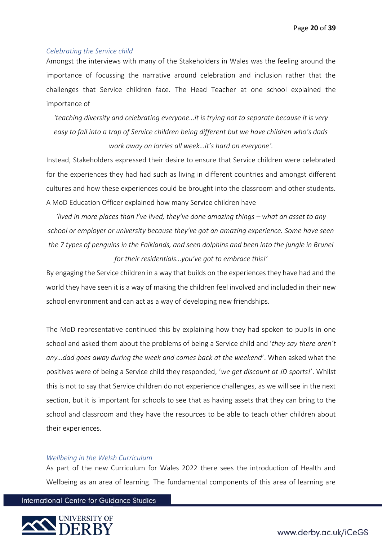#### *Celebrating the Service child*

Amongst the interviews with many of the Stakeholders in Wales was the feeling around the importance of focussing the narrative around celebration and inclusion rather that the challenges that Service children face. The Head Teacher at one school explained the importance of

*'teaching diversity and celebrating everyone…it is trying not to separate because it is very easy to fall into a trap of Service children being different but we have children who's dads work away on lorries all week…it's hard on everyone'.* 

Instead, Stakeholders expressed their desire to ensure that Service children were celebrated for the experiences they had had such as living in different countries and amongst different cultures and how these experiences could be brought into the classroom and other students. A MoD Education Officer explained how many Service children have

*'lived in more places than I've lived, they've done amazing things – what an asset to any school or employer or university because they've got an amazing experience. Some have seen the 7 types of penguins in the Falklands, and seen dolphins and been into the jungle in Brunei* 

*for their residentials…you've got to embrace this!'*

By engaging the Service children in a way that builds on the experiences they have had and the world they have seen it is a way of making the children feel involved and included in their new school environment and can act as a way of developing new friendships.

The MoD representative continued this by explaining how they had spoken to pupils in one school and asked them about the problems of being a Service child and '*they say there aren't any…dad goes away during the week and comes back at the weekend*'. When asked what the positives were of being a Service child they responded, '*we get discount at JD sports!*'. Whilst this is not to say that Service children do not experience challenges, as we will see in the next section, but it is important for schools to see that as having assets that they can bring to the school and classroom and they have the resources to be able to teach other children about their experiences.

#### *Wellbeing in the Welsh Curriculum*

As part of the new Curriculum for Wales 2022 there sees the introduction of Health and Wellbeing as an area of learning. The fundamental components of this area of learning are

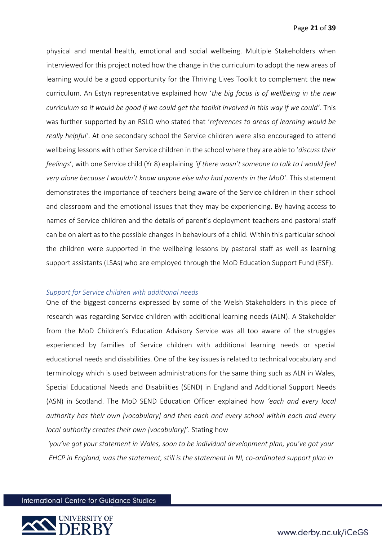physical and mental health, emotional and social wellbeing. Multiple Stakeholders when interviewed for this project noted how the change in the curriculum to adopt the new areas of learning would be a good opportunity for the Thriving Lives Toolkit to complement the new curriculum. An Estyn representative explained how '*the big focus is of wellbeing in the new curriculum so it would be good if we could get the toolkit involved in this way if we could'*. This was further supported by an RSLO who stated that '*references to areas of learning would be really helpful'*. At one secondary school the Service children were also encouraged to attend wellbeing lessons with other Service children in the school where they are able to '*discuss their feelings*', with one Service child (Yr 8) explaining *'if there wasn't someone to talk to I would feel very alone because I wouldn't know anyone else who had parents in the MoD'*. This statement demonstrates the importance of teachers being aware of the Service children in their school and classroom and the emotional issues that they may be experiencing. By having access to names of Service children and the details of parent's deployment teachers and pastoral staff can be on alert as to the possible changes in behaviours of a child. Within this particular school the children were supported in the wellbeing lessons by pastoral staff as well as learning support assistants (LSAs) who are employed through the MoD Education Support Fund (ESF).

# *Support for Service children with additional needs*

One of the biggest concerns expressed by some of the Welsh Stakeholders in this piece of research was regarding Service children with additional learning needs (ALN). A Stakeholder from the MoD Children's Education Advisory Service was all too aware of the struggles experienced by families of Service children with additional learning needs or special educational needs and disabilities. One of the key issues is related to technical vocabulary and terminology which is used between administrations for the same thing such as ALN in Wales, Special Educational Needs and Disabilities (SEND) in England and Additional Support Needs (ASN) in Scotland. The MoD SEND Education Officer explained how *'each and every local authority has their own [vocabulary] and then each and every school within each and every local authority creates their own [vocabulary]'*. Stating how

*'you've got your statement in Wales, soon to be individual development plan, you've got your EHCP in England, was the statement, still is the statement in NI, co-ordinated support plan in* 

**International Centre for Guidance Studies** 

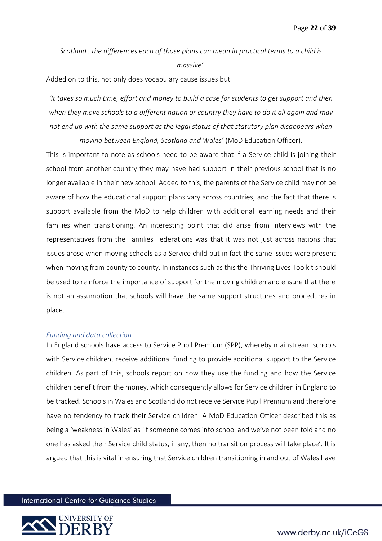*Scotland…the differences each of those plans can mean in practical terms to a child is* 

*massive'.*

Added on to this, not only does vocabulary cause issues but

*'It takes so much time, effort and money to build a case for students to get support and then when they move schools to a different nation or country they have to do it all again and may not end up with the same support as the legal status of that statutory plan disappears when moving between England, Scotland and Wales'* (MoD Education Officer).

This is important to note as schools need to be aware that if a Service child is joining their school from another country they may have had support in their previous school that is no longer available in their new school. Added to this, the parents of the Service child may not be aware of how the educational support plans vary across countries, and the fact that there is support available from the MoD to help children with additional learning needs and their families when transitioning. An interesting point that did arise from interviews with the representatives from the Families Federations was that it was not just across nations that issues arose when moving schools as a Service child but in fact the same issues were present when moving from county to county. In instances such as this the Thriving Lives Toolkit should be used to reinforce the importance of support for the moving children and ensure that there is not an assumption that schools will have the same support structures and procedures in place.

#### *Funding and data collection*

In England schools have access to Service Pupil Premium (SPP), whereby mainstream schools with Service children, receive additional funding to provide additional support to the Service children. As part of this, schools report on how they use the funding and how the Service children benefit from the money, which consequently allows for Service children in England to be tracked. Schools in Wales and Scotland do not receive Service Pupil Premium and therefore have no tendency to track their Service children. A MoD Education Officer described this as being a 'weakness in Wales' as 'if someone comes into school and we've not been told and no one has asked their Service child status, if any, then no transition process will take place'. It is argued that this is vital in ensuring that Service children transitioning in and out of Wales have

#### **International Centre for Guidance Studies**

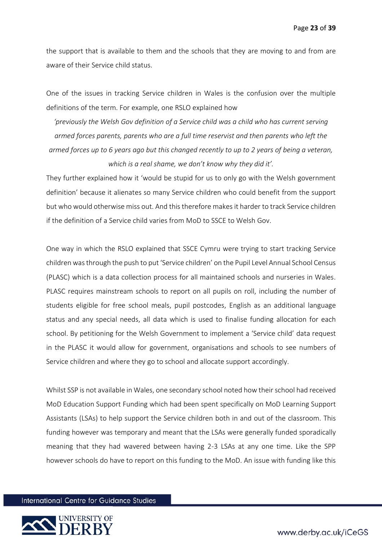the support that is available to them and the schools that they are moving to and from are aware of their Service child status.

One of the issues in tracking Service children in Wales is the confusion over the multiple definitions of the term. For example, one RSLO explained how

*'previously the Welsh Gov definition of a Service child was a child who has current serving armed forces parents, parents who are a full time reservist and then parents who left the armed forces up to 6 years ago but this changed recently to up to 2 years of being a veteran, which is a real shame, we don't know why they did it'.*

They further explained how it 'would be stupid for us to only go with the Welsh government definition' because it alienates so many Service children who could benefit from the support but who would otherwise miss out. And this therefore makes it harder to track Service children if the definition of a Service child varies from MoD to SSCE to Welsh Gov.

One way in which the RSLO explained that SSCE Cymru were trying to start tracking Service children was through the push to put 'Service children' on the Pupil Level Annual School Census (PLASC) which is a data collection process for all maintained schools and nurseries in Wales. PLASC requires mainstream schools to report on all pupils on roll, including the number of students eligible for free school meals, pupil postcodes, English as an additional language status and any special needs, all data which is used to finalise funding allocation for each school. By petitioning for the Welsh Government to implement a 'Service child' data request in the PLASC it would allow for government, organisations and schools to see numbers of Service children and where they go to school and allocate support accordingly.

Whilst SSP is not available in Wales, one secondary school noted how their school had received MoD Education Support Funding which had been spent specifically on MoD Learning Support Assistants (LSAs) to help support the Service children both in and out of the classroom. This funding however was temporary and meant that the LSAs were generally funded sporadically meaning that they had wavered between having 2-3 LSAs at any one time. Like the SPP however schools do have to report on this funding to the MoD. An issue with funding like this

**International Centre for Guidance Studies** 

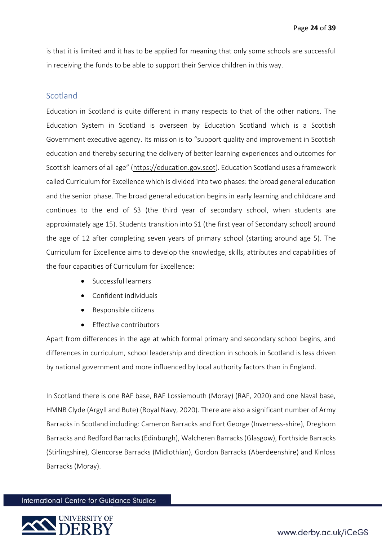is that it is limited and it has to be applied for meaning that only some schools are successful in receiving the funds to be able to support their Service children in this way.

# <span id="page-23-0"></span>Scotland

Education in Scotland is quite different in many respects to that of the other nations. The Education System in Scotland is overseen by Education Scotland which is a Scottish Government executive agency. Its mission is to "support quality and improvement in Scottish education and thereby securing the delivery of better learning experiences and outcomes for Scottish learners of all age" ([https://education.gov.scot\)](https://education.gov.scot/). Education Scotland uses a framework called Curriculum for Excellence which is divided into two phases: the broad general education and the senior phase. The broad general education begins in early learning and childcare and continues to the end of S3 (the third year of secondary school, when students are approximately age 15). Students transition into S1 (the first year of Secondary school) around the age of 12 after completing seven years of primary school (starting around age 5). The Curriculum for Excellence aims to develop the knowledge, skills, attributes and capabilities of the four capacities of Curriculum for Excellence:

- Successful learners
- Confident individuals
- Responsible citizens
- Effective contributors

Apart from differences in the age at which formal primary and secondary school begins, and differences in curriculum, school leadership and direction in schools in Scotland is less driven by national government and more influenced by local authority factors than in England.

In Scotland there is one RAF base, RAF Lossiemouth (Moray) (RAF, 2020) and one Naval base, HMNB Clyde (Argyll and Bute) (Royal Navy, 2020). There are also a significant number of Army Barracks in Scotland including: Cameron Barracks and Fort George (Inverness-shire), Dreghorn Barracks and Redford Barracks (Edinburgh), Walcheren Barracks (Glasgow), Forthside Barracks (Stirlingshire), Glencorse Barracks (Midlothian), Gordon Barracks (Aberdeenshire) and Kinloss Barracks (Moray).

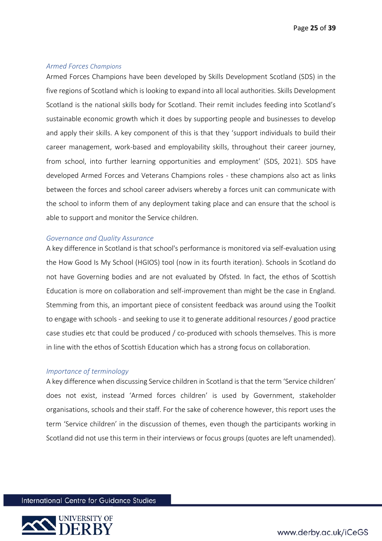#### *Armed Forces Champions*

Armed Forces Champions have been developed by Skills Development Scotland (SDS) in the five regions of Scotland which is looking to expand into all local authorities. Skills Development Scotland is the national skills body for Scotland. Their remit includes feeding into Scotland's sustainable economic growth which it does by supporting people and businesses to develop and apply their skills. A key component of this is that they 'support individuals to build their career management, work-based and employability skills, throughout their career journey, from school, into further learning opportunities and employment' (SDS, 2021). SDS have developed Armed Forces and Veterans Champions roles - these champions also act as links between the forces and school career advisers whereby a forces unit can communicate with the school to inform them of any deployment taking place and can ensure that the school is able to support and monitor the Service children.

#### *Governance and Quality Assurance*

A key difference in Scotland is that school's performance is monitored via self-evaluation using the How Good Is My School (HGIOS) tool (now in its fourth iteration). Schools in Scotland do not have Governing bodies and are not evaluated by Ofsted. In fact, the ethos of Scottish Education is more on collaboration and self-improvement than might be the case in England. Stemming from this, an important piece of consistent feedback was around using the Toolkit to engage with schools - and seeking to use it to generate additional resources / good practice case studies etc that could be produced / co-produced with schools themselves. This is more in line with the ethos of Scottish Education which has a strong focus on collaboration.

# *Importance of terminology*

A key difference when discussing Service children in Scotland is that the term 'Service children' does not exist, instead 'Armed forces children' is used by Government, stakeholder organisations, schools and their staff. For the sake of coherence however, this report uses the term 'Service children' in the discussion of themes, even though the participants working in Scotland did not use this term in their interviews or focus groups (quotes are left unamended).

**International Centre for Guidance Studies** 

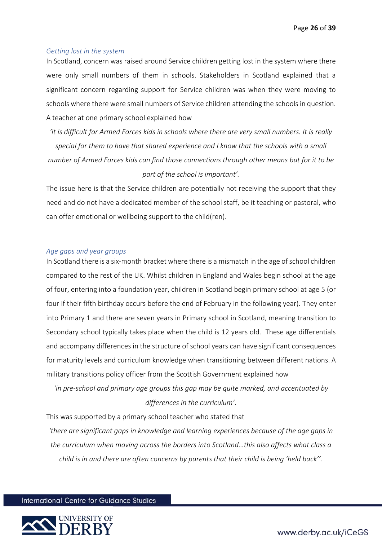# *Getting lost in the system*

In Scotland, concern was raised around Service children getting lost in the system where there were only small numbers of them in schools. Stakeholders in Scotland explained that a significant concern regarding support for Service children was when they were moving to schools where there were small numbers of Service children attending the schools in question. A teacher at one primary school explained how

*'it is difficult for Armed Forces kids in schools where there are very small numbers. It is really special for them to have that shared experience and I know that the schools with a small number of Armed Forces kids can find those connections through other means but for it to be part of the school is important'.* 

The issue here is that the Service children are potentially not receiving the support that they need and do not have a dedicated member of the school staff, be it teaching or pastoral, who can offer emotional or wellbeing support to the child(ren).

# *Age gaps and year groups*

In Scotland there is a six-month bracket where there is a mismatch in the age of school children compared to the rest of the UK. Whilst children in England and Wales begin school at the age of four, entering into a foundation year, children in Scotland begin primary school at age 5 (or four if their fifth birthday occurs before the end of February in the following year). They enter into Primary 1 and there are seven years in Primary school in Scotland, meaning transition to Secondary school typically takes place when the child is 12 years old. These age differentials and accompany differences in the structure of school years can have significant consequences for maturity levels and curriculum knowledge when transitioning between different nations. A military transitions policy officer from the Scottish Government explained how

*'in pre-school and primary age groups this gap may be quite marked, and accentuated by differences in the curriculum'.* 

This was supported by a primary school teacher who stated that

*'there are significant gaps in knowledge and learning experiences because of the age gaps in the curriculum when moving across the borders into Scotland…this also affects what class a child is in and there are often concerns by parents that their child is being 'held back''.*

**International Centre for Guidance Studies** 

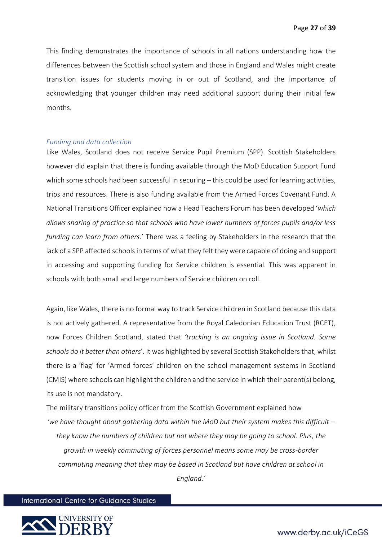This finding demonstrates the importance of schools in all nations understanding how the differences between the Scottish school system and those in England and Wales might create transition issues for students moving in or out of Scotland, and the importance of acknowledging that younger children may need additional support during their initial few months.

#### *Funding and data collection*

Like Wales, Scotland does not receive Service Pupil Premium (SPP). Scottish Stakeholders however did explain that there is funding available through the MoD Education Support Fund which some schools had been successful in securing – this could be used for learning activities, trips and resources. There is also funding available from the Armed Forces Covenant Fund. A National Transitions Officer explained how a Head Teachers Forum has been developed '*which allows sharing of practice so that schools who have lower numbers of forces pupils and/or less funding can learn from others*.' There was a feeling by Stakeholders in the research that the lack of a SPP affected schools in terms of what they felt they were capable of doing and support in accessing and supporting funding for Service children is essential. This was apparent in schools with both small and large numbers of Service children on roll.

Again, like Wales, there is no formal way to track Service children in Scotland because this data is not actively gathered. A representative from the Royal Caledonian Education Trust (RCET), now Forces Children Scotland, stated that *'tracking is an ongoing issue in Scotland. Some schools do it better than others*'. It was highlighted by several Scottish Stakeholders that, whilst there is a 'flag' for 'Armed forces' children on the school management systems in Scotland (CMIS) where schools can highlight the children and the service in which their parent(s) belong, its use is not mandatory.

The military transitions policy officer from the Scottish Government explained how *'we have thought about gathering data within the MoD but their system makes this difficult – they know the numbers of children but not where they may be going to school. Plus, the growth in weekly commuting of forces personnel means some may be cross-border commuting meaning that they may be based in Scotland but have children at school in England.'*

**International Centre for Guidance Studies** 

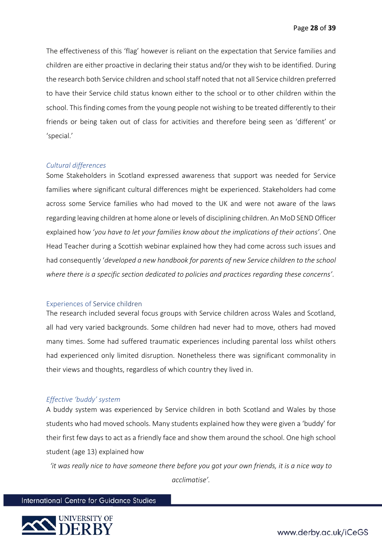The effectiveness of this 'flag' however is reliant on the expectation that Service families and children are either proactive in declaring their status and/or they wish to be identified. During the research both Service children and school staff noted that not all Service children preferred to have their Service child status known either to the school or to other children within the school. This finding comes from the young people not wishing to be treated differently to their friends or being taken out of class for activities and therefore being seen as 'different' or 'special.'

# *Cultural differences*

Some Stakeholders in Scotland expressed awareness that support was needed for Service families where significant cultural differences might be experienced. Stakeholders had come across some Service families who had moved to the UK and were not aware of the laws regarding leaving children at home alone or levels of disciplining children. An MoD SEND Officer explained how '*you have to let your families know about the implications of their actions'*. One Head Teacher during a Scottish webinar explained how they had come across such issues and had consequently '*developed a new handbook for parents of new Service children to the school where there is a specific section dedicated to policies and practices regarding these concerns'*.

# <span id="page-27-0"></span>Experiences of Service children

The research included several focus groups with Service children across Wales and Scotland, all had very varied backgrounds. Some children had never had to move, others had moved many times. Some had suffered traumatic experiences including parental loss whilst others had experienced only limited disruption. Nonetheless there was significant commonality in their views and thoughts, regardless of which country they lived in.

# *Effective 'buddy' system*

A buddy system was experienced by Service children in both Scotland and Wales by those students who had moved schools. Many students explained how they were given a 'buddy' for their first few days to act as a friendly face and show them around the school. One high school student (age 13) explained how

*'it was really nice to have someone there before you got your own friends, it is a nice way to acclimatise'.*

#### **International Centre for Guidance Studies**

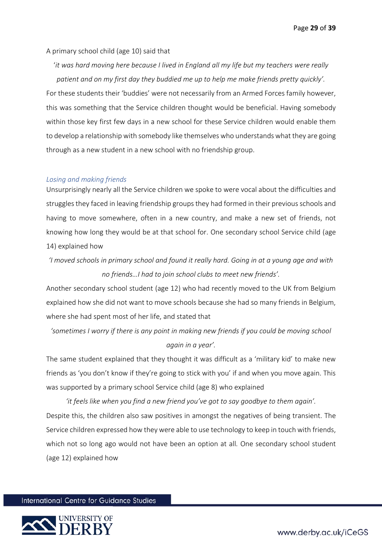Page **29** of **39**

#### A primary school child (age 10) said that

'*it was hard moving here because I lived in England all my life but my teachers were really patient and on my first day they buddied me up to help me make friends pretty quickly'.*

For these students their 'buddies' were not necessarily from an Armed Forces family however, this was something that the Service children thought would be beneficial. Having somebody within those key first few days in a new school for these Service children would enable them to develop a relationship with somebody like themselves who understands what they are going through as a new student in a new school with no friendship group.

#### *Losing and making friends*

Unsurprisingly nearly all the Service children we spoke to were vocal about the difficulties and struggles they faced in leaving friendship groups they had formed in their previous schools and having to move somewhere, often in a new country, and make a new set of friends, not knowing how long they would be at that school for. One secondary school Service child (age 14) explained how

*'I moved schools in primary school and found it really hard. Going in at a young age and with no friends…I had to join school clubs to meet new friends'.*

Another secondary school student (age 12) who had recently moved to the UK from Belgium explained how she did not want to move schools because she had so many friends in Belgium, where she had spent most of her life, and stated that

*'sometimes I worry if there is any point in making new friends if you could be moving school again in a year'.*

The same student explained that they thought it was difficult as a 'military kid' to make new friends as 'you don't know if they're going to stick with you' if and when you move again. This was supported by a primary school Service child (age 8) who explained

*'it feels like when you find a new friend you've got to say goodbye to them again'.* Despite this, the children also saw positives in amongst the negatives of being transient. The Service children expressed how they were able to use technology to keep in touch with friends, which not so long ago would not have been an option at all. One secondary school student (age 12) explained how

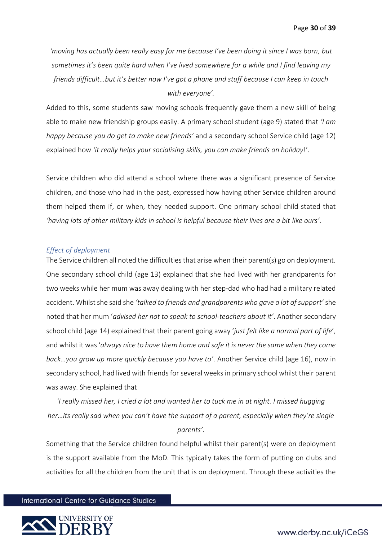*'moving has actually been really easy for me because I've been doing it since I was born, but sometimes it's been quite hard when I've lived somewhere for a while and I find leaving my friends difficult…but it's better now I've got a phone and stuff because I can keep in touch with everyone'.*

Added to this, some students saw moving schools frequently gave them a new skill of being able to make new friendship groups easily. A primary school student (age 9) stated that *'I am happy because you do get to make new friends'* and a secondary school Service child (age 12) explained how *'it really helps your socialising skills, you can make friends on holiday*!'.

Service children who did attend a school where there was a significant presence of Service children, and those who had in the past, expressed how having other Service children around them helped them if, or when, they needed support. One primary school child stated that *'having lots of other military kids in school is helpful because their lives are a bit like ours'*.

# *Effect of deployment*

The Service children all noted the difficulties that arise when their parent(s) go on deployment. One secondary school child (age 13) explained that she had lived with her grandparents for two weeks while her mum was away dealing with her step-dad who had had a military related accident. Whilst she said she *'talked to friends and grandparents who gave a lot of support'* she noted that her mum '*advised her not to speak to school-teachers about it'*. Another secondary school child (age 14) explained that their parent going away '*just felt like a normal part of life*', and whilst it was '*always nice to have them home and safe it is never the same when they come back…you grow up more quickly because you have to'*. Another Service child (age 16), now in secondary school, had lived with friends for several weeks in primary school whilst their parent was away. She explained that

*'I really missed her, I cried a lot and wanted her to tuck me in at night. I missed hugging her…its really sad when you can't have the support of a parent, especially when they're single parents'.*

Something that the Service children found helpful whilst their parent(s) were on deployment is the support available from the MoD. This typically takes the form of putting on clubs and activities for all the children from the unit that is on deployment. Through these activities the

**International Centre for Guidance Studies** 

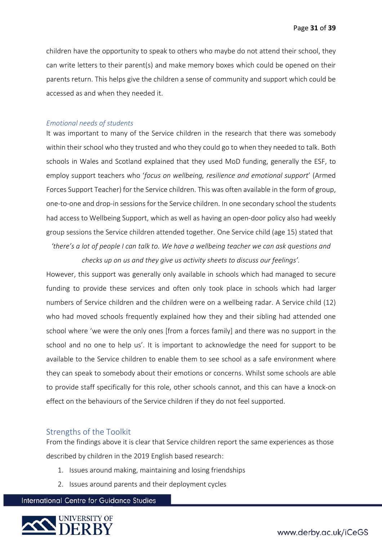children have the opportunity to speak to others who maybe do not attend their school, they can write letters to their parent(s) and make memory boxes which could be opened on their parents return. This helps give the children a sense of community and support which could be accessed as and when they needed it.

# *Emotional needs of students*

It was important to many of the Service children in the research that there was somebody within their school who they trusted and who they could go to when they needed to talk. Both schools in Wales and Scotland explained that they used MoD funding, generally the ESF, to employ support teachers who '*focus on wellbeing, resilience and emotional support*' (Armed Forces Support Teacher) for the Service children. This was often available in the form of group, one-to-one and drop-in sessions for the Service children. In one secondary school the students had access to Wellbeing Support, which as well as having an open-door policy also had weekly group sessions the Service children attended together. One Service child (age 15) stated that

*'there's a lot of people I can talk to. We have a wellbeing teacher we can ask questions and checks up on us and they give us activity sheets to discuss our feelings'.* 

However, this support was generally only available in schools which had managed to secure funding to provide these services and often only took place in schools which had larger numbers of Service children and the children were on a wellbeing radar. A Service child (12) who had moved schools frequently explained how they and their sibling had attended one school where 'we were the only ones [from a forces family] and there was no support in the school and no one to help us'. It is important to acknowledge the need for support to be available to the Service children to enable them to see school as a safe environment where they can speak to somebody about their emotions or concerns. Whilst some schools are able to provide staff specifically for this role, other schools cannot, and this can have a knock-on effect on the behaviours of the Service children if they do not feel supported.

# <span id="page-30-0"></span>Strengths of the Toolkit

From the findings above it is clear that Service children report the same experiences as those described by children in the 2019 English based research:

- 1. Issues around making, maintaining and losing friendships
- 2. Issues around parents and their deployment cycles

**International Centre for Guidance Studies** 

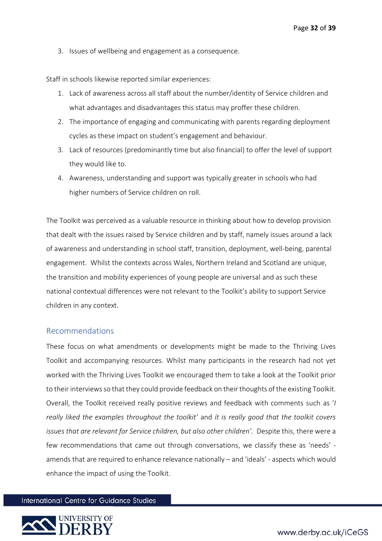3. Issues of wellbeing and engagement as a consequence.

Staff in schools likewise reported similar experiences:

- 1. Lack of awareness across all staff about the number/identity of Service children and what advantages and disadvantages this status may proffer these children.
- 2. The importance of engaging and communicating with parents regarding deployment cycles as these impact on student's engagement and behaviour.
- 3. Lack of resources (predominantly time but also financial) to offer the level of support they would like to.
- 4. Awareness, understanding and support was typically greater in schools who had higher numbers of Service children on roll.

The Toolkit was perceived as a valuable resource in thinking about how to develop provision that dealt with the issues raised by Service children and by staff, namely issues around a lack of awareness and understanding in school staff, transition, deployment, well-being, parental engagement. Whilst the contexts across Wales, Northern Ireland and Scotland are unique, the transition and mobility experiences of young people are universal and as such these national contextual differences were not relevant to the Toolkit's ability to support Service children in any context.

# <span id="page-31-0"></span>Recommendations

These focus on what amendments or developments might be made to the Thriving Lives Toolkit and accompanying resources. Whilst many participants in the research had not yet worked with the Thriving Lives Toolkit we encouraged them to take a look at the Toolkit prior to their interviews so that they could provide feedback on their thoughts of the existing Toolkit. Overall, the Toolkit received really positive reviews and feedback with comments such as '*I really liked the examples throughout the toolkit'* and *ít is really good that the toolkit covers issues that are relevant for Service children, but also other children'.* Despite this, there were a few recommendations that came out through conversations, we classify these as 'needs' amends that are required to enhance relevance nationally – and 'ideals' - aspects which would enhance the impact of using the Toolkit.

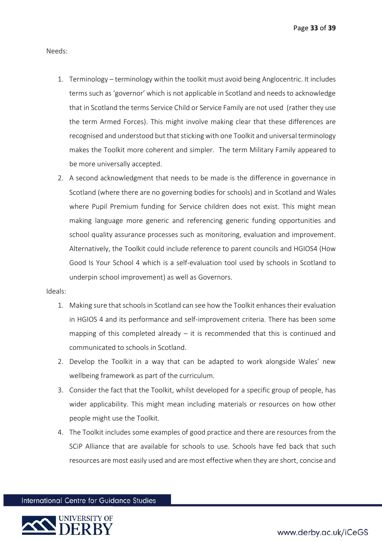Needs:

- 1. Terminology terminology within the toolkit must avoid being Anglocentric. It includes terms such as 'governor' which is not applicable in Scotland and needs to acknowledge that in Scotland the terms Service Child or Service Family are not used (rather they use the term Armed Forces). This might involve making clear that these differences are recognised and understood but that sticking with one Toolkit and universal terminology makes the Toolkit more coherent and simpler. The term Military Family appeared to be more universally accepted.
- 2. A second acknowledgment that needs to be made is the difference in governance in Scotland (where there are no governing bodies for schools) and in Scotland and Wales where Pupil Premium funding for Service children does not exist. This might mean making language more generic and referencing generic funding opportunities and school quality assurance processes such as monitoring, evaluation and improvement. Alternatively, the Toolkit could include reference to parent councils and HGIOS4 (How Good Is Your School 4 which is a self-evaluation tool used by schools in Scotland to underpin school improvement) as well as Governors.

Ideals:

- 1. Making sure that schools in Scotland can see how the Toolkit enhances their evaluation in HGIOS 4 and its performance and self-improvement criteria. There has been some mapping of this completed already  $-$  it is recommended that this is continued and communicated to schools in Scotland.
- 2. Develop the Toolkit in a way that can be adapted to work alongside Wales' new wellbeing framework as part of the curriculum.
- 3. Consider the fact that the Toolkit, whilst developed for a specific group of people, has wider applicability. This might mean including materials or resources on how other people might use the Toolkit.
- 4. The Toolkit includes some examples of good practice and there are resources from the SCiP Alliance that are available for schools to use. Schools have fed back that such resources are most easily used and are most effective when they are short, concise and

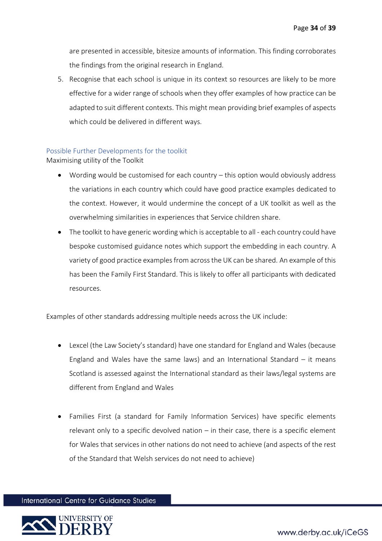are presented in accessible, bitesize amounts of information. This finding corroborates the findings from the original research in England.

5. Recognise that each school is unique in its context so resources are likely to be more effective for a wider range of schools when they offer examples of how practice can be adapted to suit different contexts. This might mean providing brief examples of aspects which could be delivered in different ways.

# Possible Further Developments for the toolkit

Maximising utility of the Toolkit

- Wording would be customised for each country this option would obviously address the variations in each country which could have good practice examples dedicated to the context. However, it would undermine the concept of a UK toolkit as well as the overwhelming similarities in experiences that Service children share.
- The toolkit to have generic wording which is acceptable to all each country could have bespoke customised guidance notes which support the embedding in each country. A variety of good practice examples from across the UK can be shared. An example of this has been the Family First Standard. This is likely to offer all participants with dedicated resources.

Examples of other standards addressing multiple needs across the UK include:

- Lexcel (the Law Society's standard) have one standard for England and Wales (because England and Wales have the same laws) and an International Standard  $-$  it means Scotland is assessed against the International standard as their laws/legal systems are different from England and Wales
- Families First (a standard for Family Information Services) have specific elements relevant only to a specific devolved nation – in their case, there is a specific element for Wales that services in other nations do not need to achieve (and aspects of the rest of the Standard that Welsh services do not need to achieve)

**International Centre for Guidance Studies** 

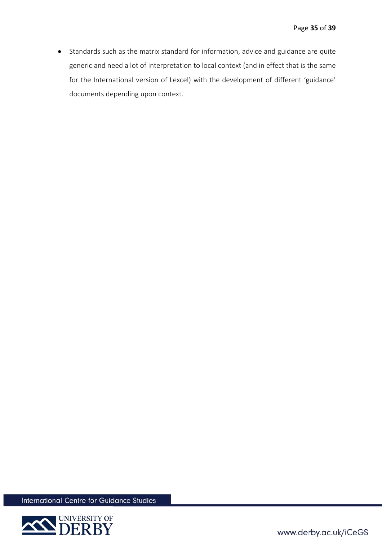• Standards such as the matrix standard for information, advice and guidance are quite generic and need a lot of interpretation to local context (and in effect that is the same for the International version of Lexcel) with the development of different 'guidance' documents depending upon context.

International Centre for Guidance Studies

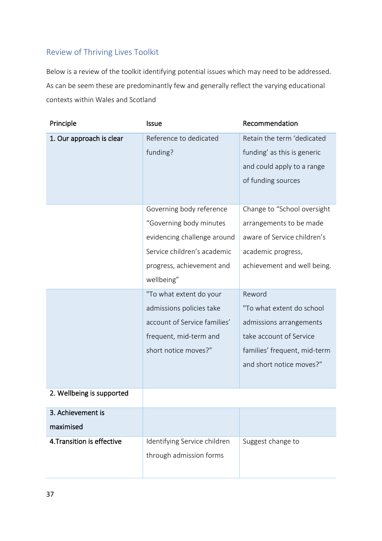# Review of Thriving Lives Toolkit

Below is a review of the toolkit identifying potential issues which may need to be addressed. As can be seem these are predominantly few and generally reflect the varying educational contexts within Wales and Scotland

| Principle                  | <b>Issue</b>                 | Recommendation               |
|----------------------------|------------------------------|------------------------------|
| 1. Our approach is clear   | Reference to dedicated       | Retain the term 'dedicated   |
|                            | funding?                     | funding' as this is generic  |
|                            |                              | and could apply to a range   |
|                            |                              | of funding sources           |
|                            |                              |                              |
|                            | Governing body reference     | Change to "School oversight  |
|                            | "Governing body minutes      | arrangements to be made      |
|                            | evidencing challenge around  | aware of Service children's  |
|                            | Service children's academic  | academic progress,           |
|                            | progress, achievement and    | achievement and well being.  |
|                            | wellbeing"                   |                              |
|                            | "To what extent do your      | Reword                       |
|                            | admissions policies take     | "To what extent do school    |
|                            | account of Service families' | admissions arrangements      |
|                            | frequent, mid-term and       | take account of Service      |
|                            | short notice moves?"         | families' frequent, mid-term |
|                            |                              | and short notice moves?"     |
|                            |                              |                              |
| 2. Wellbeing is supported  |                              |                              |
| 3. Achievement is          |                              |                              |
| maximised                  |                              |                              |
| 4. Transition is effective | Identifying Service children | Suggest change to            |
|                            | through admission forms      |                              |
|                            |                              |                              |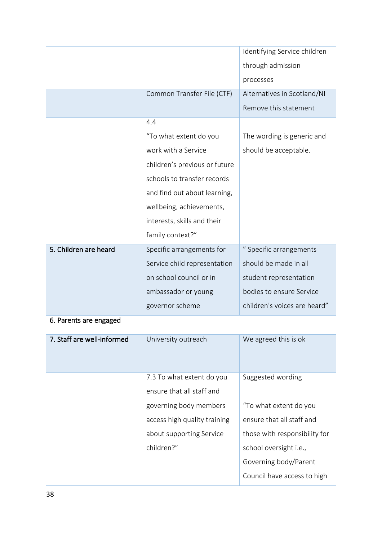|                            |                               | Identifying Service children  |
|----------------------------|-------------------------------|-------------------------------|
|                            |                               | through admission             |
|                            |                               | processes                     |
|                            | Common Transfer File (CTF)    | Alternatives in Scotland/NI   |
|                            |                               | Remove this statement         |
|                            | 4.4                           |                               |
|                            | "To what extent do you        | The wording is generic and    |
|                            | work with a Service           | should be acceptable.         |
|                            | children's previous or future |                               |
|                            | schools to transfer records   |                               |
|                            | and find out about learning,  |                               |
|                            | wellbeing, achievements,      |                               |
|                            | interests, skills and their   |                               |
|                            | family context?"              |                               |
| 5. Children are heard      | Specific arrangements for     | " Specific arrangements       |
|                            | Service child representation  | should be made in all         |
|                            | on school council or in       | student representation        |
|                            | ambassador or young           | bodies to ensure Service      |
|                            | governor scheme               | children's voices are heard"  |
| 6. Parents are engaged     |                               |                               |
| 7. Staff are well-informed | University outreach           | We agreed this is ok          |
|                            |                               |                               |
|                            |                               |                               |
|                            | 7.3 To what extent do you     | Suggested wording             |
|                            | ensure that all staff and     |                               |
|                            | governing body members        | "To what extent do you        |
|                            | access high quality training  | ensure that all staff and     |
|                            | about supporting Service      | those with responsibility for |
|                            | children?"                    | school oversight i.e.,        |

Governing body/Parent